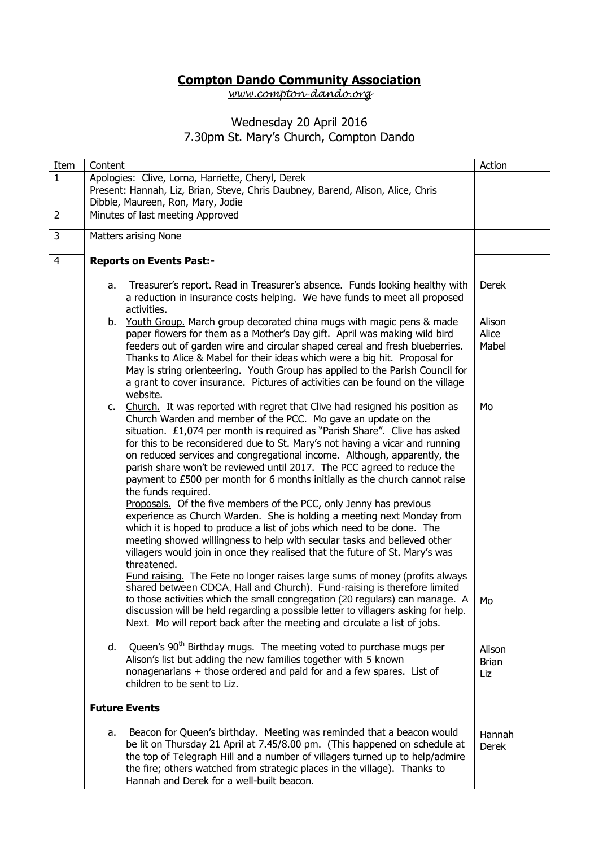## **Compton Dando Community Association**

*[www.compton-dando.org](http://www.compton-dando.org/)*

## Wednesday 20 April 2016

## 7.30pm St. Mary's Church, Compton Dando

| Item           | Content                                                                                                                                                                                                                                                                                                                                                                                                                                                                                                                                                                                                                                                                                                                                                                                                                                                                                                                                                                                                                                                        | Action                        |
|----------------|----------------------------------------------------------------------------------------------------------------------------------------------------------------------------------------------------------------------------------------------------------------------------------------------------------------------------------------------------------------------------------------------------------------------------------------------------------------------------------------------------------------------------------------------------------------------------------------------------------------------------------------------------------------------------------------------------------------------------------------------------------------------------------------------------------------------------------------------------------------------------------------------------------------------------------------------------------------------------------------------------------------------------------------------------------------|-------------------------------|
| $\mathbf{1}$   | Apologies: Clive, Lorna, Harriette, Cheryl, Derek                                                                                                                                                                                                                                                                                                                                                                                                                                                                                                                                                                                                                                                                                                                                                                                                                                                                                                                                                                                                              |                               |
|                | Present: Hannah, Liz, Brian, Steve, Chris Daubney, Barend, Alison, Alice, Chris                                                                                                                                                                                                                                                                                                                                                                                                                                                                                                                                                                                                                                                                                                                                                                                                                                                                                                                                                                                |                               |
| $\overline{2}$ | Dibble, Maureen, Ron, Mary, Jodie<br>Minutes of last meeting Approved                                                                                                                                                                                                                                                                                                                                                                                                                                                                                                                                                                                                                                                                                                                                                                                                                                                                                                                                                                                          |                               |
|                |                                                                                                                                                                                                                                                                                                                                                                                                                                                                                                                                                                                                                                                                                                                                                                                                                                                                                                                                                                                                                                                                |                               |
| 3              | Matters arising None                                                                                                                                                                                                                                                                                                                                                                                                                                                                                                                                                                                                                                                                                                                                                                                                                                                                                                                                                                                                                                           |                               |
| $\overline{4}$ | <b>Reports on Events Past:-</b>                                                                                                                                                                                                                                                                                                                                                                                                                                                                                                                                                                                                                                                                                                                                                                                                                                                                                                                                                                                                                                |                               |
|                | Treasurer's report. Read in Treasurer's absence. Funds looking healthy with<br>a.<br>a reduction in insurance costs helping. We have funds to meet all proposed<br>activities.                                                                                                                                                                                                                                                                                                                                                                                                                                                                                                                                                                                                                                                                                                                                                                                                                                                                                 | Derek                         |
|                | Youth Group. March group decorated china mugs with magic pens & made<br>b.<br>paper flowers for them as a Mother's Day gift. April was making wild bird<br>feeders out of garden wire and circular shaped cereal and fresh blueberries.<br>Thanks to Alice & Mabel for their ideas which were a big hit. Proposal for<br>May is string orienteering. Youth Group has applied to the Parish Council for<br>a grant to cover insurance. Pictures of activities can be found on the village<br>website.                                                                                                                                                                                                                                                                                                                                                                                                                                                                                                                                                           | Alison<br>Alice<br>Mabel      |
|                | c. Church. It was reported with regret that Clive had resigned his position as<br>Church Warden and member of the PCC. Mo gave an update on the<br>situation. £1,074 per month is required as "Parish Share". Clive has asked<br>for this to be reconsidered due to St. Mary's not having a vicar and running<br>on reduced services and congregational income. Although, apparently, the<br>parish share won't be reviewed until 2017. The PCC agreed to reduce the<br>payment to £500 per month for 6 months initially as the church cannot raise<br>the funds required.<br>Proposals. Of the five members of the PCC, only Jenny has previous<br>experience as Church Warden. She is holding a meeting next Monday from<br>which it is hoped to produce a list of jobs which need to be done. The<br>meeting showed willingness to help with secular tasks and believed other<br>villagers would join in once they realised that the future of St. Mary's was<br>threatened.<br>Fund raising. The Fete no longer raises large sums of money (profits always | Mo                            |
|                | shared between CDCA, Hall and Church). Fund-raising is therefore limited<br>to those activities which the small congregation (20 regulars) can manage. A<br>discussion will be held regarding a possible letter to villagers asking for help.<br>Next. Mo will report back after the meeting and circulate a list of jobs.                                                                                                                                                                                                                                                                                                                                                                                                                                                                                                                                                                                                                                                                                                                                     | Mo                            |
|                | Queen's 90 <sup>th</sup> Birthday mugs. The meeting voted to purchase mugs per<br>d.<br>Alison's list but adding the new families together with 5 known<br>nonagenarians + those ordered and paid for and a few spares. List of<br>children to be sent to Liz.                                                                                                                                                                                                                                                                                                                                                                                                                                                                                                                                                                                                                                                                                                                                                                                                 | Alison<br><b>Brian</b><br>Liz |
|                | <b>Future Events</b>                                                                                                                                                                                                                                                                                                                                                                                                                                                                                                                                                                                                                                                                                                                                                                                                                                                                                                                                                                                                                                           |                               |
|                | a. Beacon for Queen's birthday. Meeting was reminded that a beacon would<br>be lit on Thursday 21 April at 7.45/8.00 pm. (This happened on schedule at<br>the top of Telegraph Hill and a number of villagers turned up to help/admire<br>the fire; others watched from strategic places in the village). Thanks to<br>Hannah and Derek for a well-built beacon.                                                                                                                                                                                                                                                                                                                                                                                                                                                                                                                                                                                                                                                                                               | Hannah<br><b>Derek</b>        |